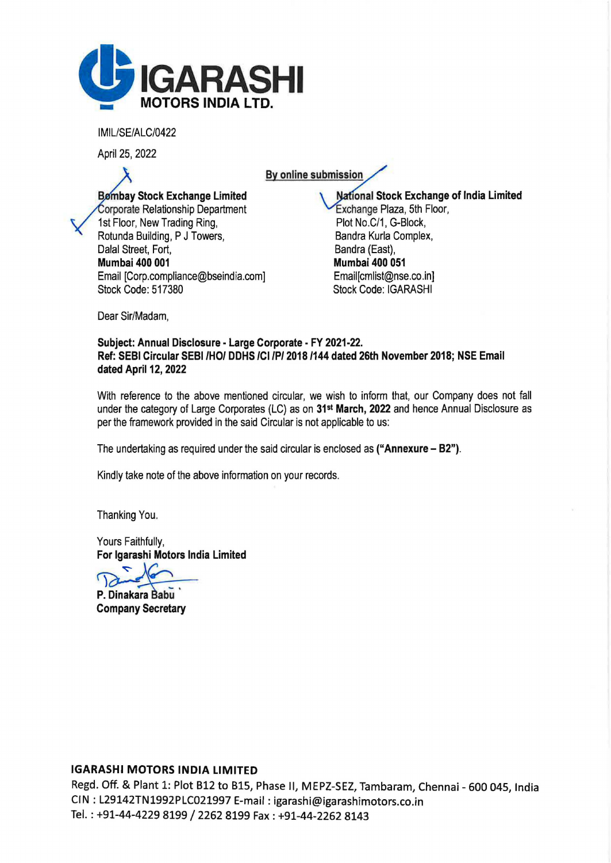

IMIL/SE/ALC/0422

April 25, 2022

By online submission

**Bømbay Stock Exchange Limited** Corporate Relationship Department 1st Floor, New Trading Ring, Rotunda Building, P J Towers, Dalal Street, Fort, Mumbai 400 001 Email [Corp.compliance@bseindia.com] Stock Code: 517380

National Stock Exchange of India Limited Exchange Plaza, 5th Floor, Plot No.C/1, G-Block, Sandra Kurla Complex, Bandra (East), Mumbai 400 051 Email[cmlist@nse.co.in] Stock Code: IGARASHI

Dear Sir/Madam,

## Subject: Annual Disclosure - Large Corporate - FY 2021-22. Ref: SEBI Circular SEBI /HO/ OOHS /Cl /P/ 2018 /144 dated 26th November 2018; NSE Email dated April 12, 2022

With reference to the above mentioned circular, we wish to inform that, our Company does not fall under the category of Large Corporates (LC) as on 31st March, 2022 and hence Annual Disclosure as per the framework provided in the said Circular is not applicable to us:

The undertaking as required under the said circular is enclosed as ("Annexure - 82").

Kindly take note of the above information on your records.

Thanking You.

Yours Faithfully, For lgarashi Motors India Limited

P. Dinakara Babu Company Secretary

## IGARASHI MOTORS INDIA LIMITED

Regd. Off. & Plant 1: Plot B12 to BlS, Phase II, MEPZ-SEZ, Tambaram, Chennai - 600 045, India CIN : L29142TN1992PLC021997 E-mail: igarashi@igarashimotors.co.in Tel.: +91-44-4229 8199 / 2262 8199 Fax: +91-44-2262 8143